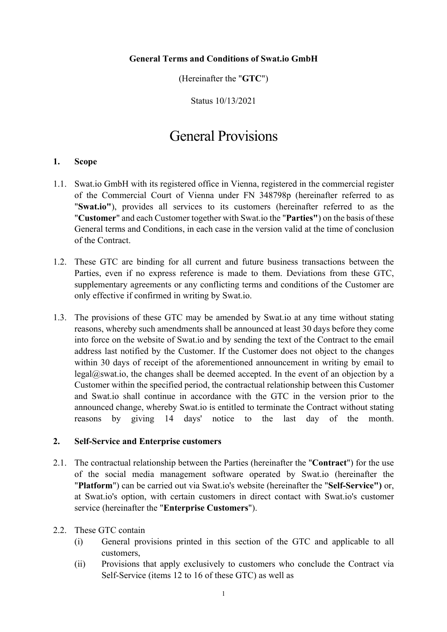### **General Terms and Conditions of Swat.io GmbH**

(Hereinafter the "**GTC**")

Status 10/13/2021

# General Provisions

### **1. Scope**

- 1.1. Swat.io GmbH with its registered office in Vienna, registered in the commercial register of the Commercial Court of Vienna under FN 348798p (hereinafter referred to as "**Swat.io"**), provides all services to its customers (hereinafter referred to as the "**Customer**" and each Customer together with Swat.io the "**Parties"**) on the basis of these General terms and Conditions, in each case in the version valid at the time of conclusion of the Contract.
- 1.2. These GTC are binding for all current and future business transactions between the Parties, even if no express reference is made to them. Deviations from these GTC, supplementary agreements or any conflicting terms and conditions of the Customer are only effective if confirmed in writing by Swat.io.
- 1.3. The provisions of these GTC may be amended by Swat.io at any time without stating reasons, whereby such amendments shall be announced at least 30 days before they come into force on the website of Swat.io and by sending the text of the Contract to the email address last notified by the Customer. If the Customer does not object to the changes within 30 days of receipt of the aforementioned announcement in writing by email to legal@swat.io, the changes shall be deemed accepted. In the event of an objection by a Customer within the specified period, the contractual relationship between this Customer and Swat.io shall continue in accordance with the GTC in the version prior to the announced change, whereby Swat.io is entitled to terminate the Contract without stating reasons by giving 14 days' notice to the last day of the month.

#### **2. Self-Service and Enterprise customers**

- 2.1. The contractual relationship between the Parties (hereinafter the "**Contract**") for the use of the social media management software operated by Swat.io (hereinafter the "**Platform**") can be carried out via Swat.io's website (hereinafter the "**Self-Service")** or, at Swat.io's option, with certain customers in direct contact with Swat.io's customer service (hereinafter the "**Enterprise Customers**").
- 2.2. These GTC contain
	- (i) General provisions printed in this section of the GTC and applicable to all customers,
	- (ii) Provisions that apply exclusively to customers who conclude the Contract via Self-Service (items 12 to 16 of these GTC) as well as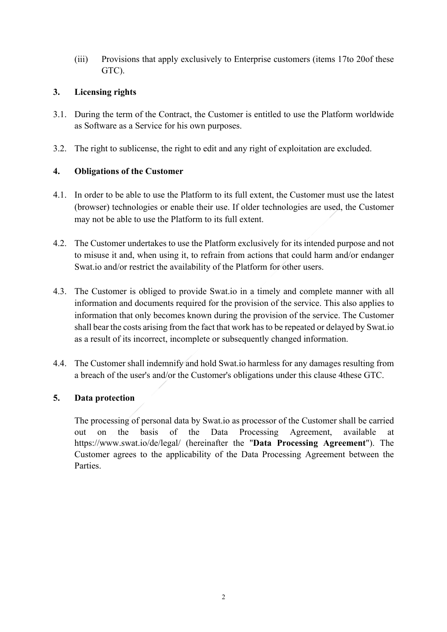(iii) Provisions that apply exclusively to Enterprise customers (items 17to 20of these GTC).

## **3. Licensing rights**

- 3.1. During the term of the Contract, the Customer is entitled to use the Platform worldwide as Software as a Service for his own purposes.
- 3.2. The right to sublicense, the right to edit and any right of exploitation are excluded.

## **4. Obligations of the Customer**

- 4.1. In order to be able to use the Platform to its full extent, the Customer must use the latest (browser) technologies or enable their use. If older technologies are used, the Customer may not be able to use the Platform to its full extent.
- 4.2. The Customer undertakes to use the Platform exclusively for its intended purpose and not to misuse it and, when using it, to refrain from actions that could harm and/or endanger Swat.io and/or restrict the availability of the Platform for other users.
- 4.3. The Customer is obliged to provide Swat.io in a timely and complete manner with all information and documents required for the provision of the service. This also applies to information that only becomes known during the provision of the service. The Customer shall bear the costs arising from the fact that work has to be repeated or delayed by Swat.io as a result of its incorrect, incomplete or subsequently changed information.
- 4.4. The Customer shall indemnify and hold Swat.io harmless for any damages resulting from a breach of the user's and/or the Customer's obligations under this clause 4these GTC.

# **5. Data protection**

The processing of personal data by Swat.io as processor of the Customer shall be carried out on the basis of the Data Processing Agreement, available https://www.swat.io/de/legal/ (hereinafter the "**Data Processing Agreement**"). The Customer agrees to the applicability of the Data Processing Agreement between the Parties.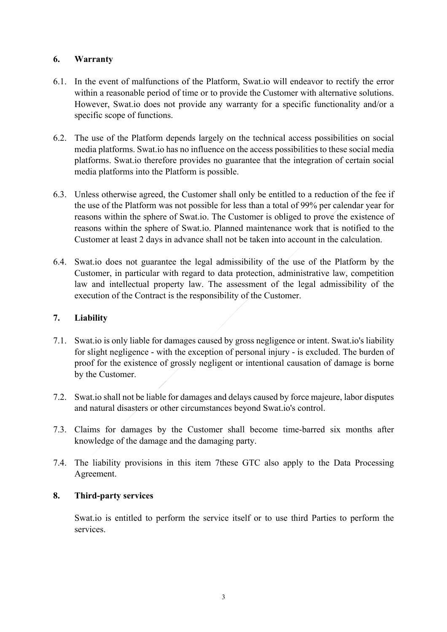## **6. Warranty**

- 6.1. In the event of malfunctions of the Platform, Swat.io will endeavor to rectify the error within a reasonable period of time or to provide the Customer with alternative solutions. However, Swat.io does not provide any warranty for a specific functionality and/or a specific scope of functions.
- 6.2. The use of the Platform depends largely on the technical access possibilities on social media platforms. Swat.io has no influence on the access possibilities to these social media platforms. Swat.io therefore provides no guarantee that the integration of certain social media platforms into the Platform is possible.
- 6.3. Unless otherwise agreed, the Customer shall only be entitled to a reduction of the fee if the use of the Platform was not possible for less than a total of 99% per calendar year for reasons within the sphere of Swat.io. The Customer is obliged to prove the existence of reasons within the sphere of Swat.io. Planned maintenance work that is notified to the Customer at least 2 days in advance shall not be taken into account in the calculation.
- 6.4. Swat.io does not guarantee the legal admissibility of the use of the Platform by the Customer, in particular with regard to data protection, administrative law, competition law and intellectual property law. The assessment of the legal admissibility of the execution of the Contract is the responsibility of the Customer.

### **7. Liability**

- 7.1. Swat.io is only liable for damages caused by gross negligence or intent. Swat.io's liability for slight negligence - with the exception of personal injury - is excluded. The burden of proof for the existence of grossly negligent or intentional causation of damage is borne by the Customer.
- 7.2. Swat.io shall not be liable for damages and delays caused by force majeure, labor disputes and natural disasters or other circumstances beyond Swat.io's control.
- 7.3. Claims for damages by the Customer shall become time-barred six months after knowledge of the damage and the damaging party.
- 7.4. The liability provisions in this item 7these GTC also apply to the Data Processing Agreement.

### **8. Third-party services**

Swat.io is entitled to perform the service itself or to use third Parties to perform the services.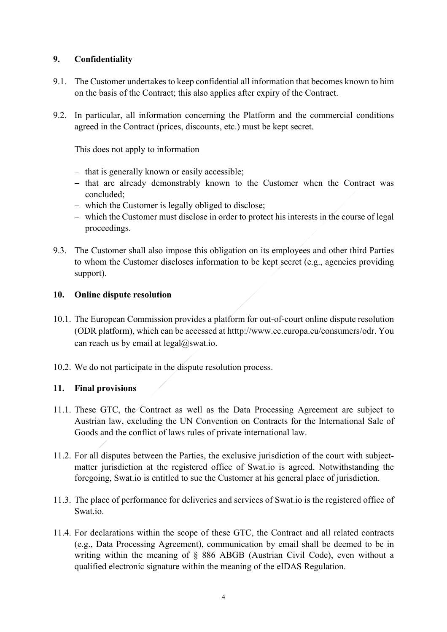## **9. Confidentiality**

- 9.1. The Customer undertakes to keep confidential all information that becomes known to him on the basis of the Contract; this also applies after expiry of the Contract.
- 9.2. In particular, all information concerning the Platform and the commercial conditions agreed in the Contract (prices, discounts, etc.) must be kept secret.

This does not apply to information

- that is generally known or easily accessible;
- that are already demonstrably known to the Customer when the Contract was concluded;
- which the Customer is legally obliged to disclose;
- which the Customer must disclose in order to protect his interests in the course of legal proceedings.
- 9.3. The Customer shall also impose this obligation on its employees and other third Parties to whom the Customer discloses information to be kept secret (e.g., agencies providing support).

## **10. Online dispute resolution**

- 10.1. The European Commission provides a platform for out-of-court online dispute resolution (ODR platform), which can be accessed at htttp://www.ec.europa.eu/consumers/odr. You can reach us by email at  $\text{legal@swat.io.}$
- 10.2. We do not participate in the dispute resolution process.

### **11. Final provisions**

- 11.1. These GTC, the Contract as well as the Data Processing Agreement are subject to Austrian law, excluding the UN Convention on Contracts for the International Sale of Goods and the conflict of laws rules of private international law.
- 11.2. For all disputes between the Parties, the exclusive jurisdiction of the court with subjectmatter jurisdiction at the registered office of Swat.io is agreed. Notwithstanding the foregoing, Swat.io is entitled to sue the Customer at his general place of jurisdiction.
- 11.3. The place of performance for deliveries and services of Swat.io is the registered office of Swat.io.
- 11.4. For declarations within the scope of these GTC, the Contract and all related contracts (e.g., Data Processing Agreement), communication by email shall be deemed to be in writing within the meaning of § 886 ABGB (Austrian Civil Code), even without a qualified electronic signature within the meaning of the eIDAS Regulation.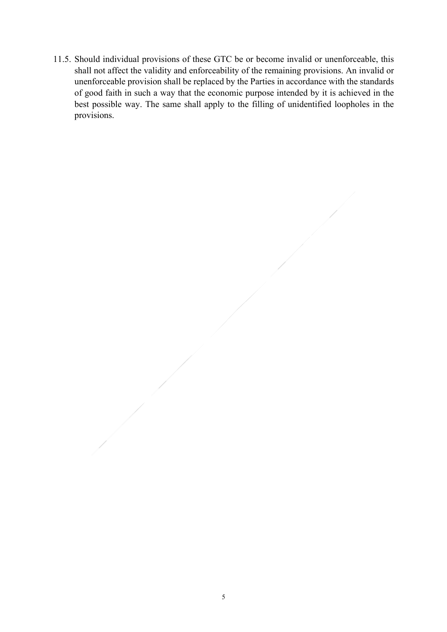11.5. Should individual provisions of these GTC be or become invalid or unenforceable, this shall not affect the validity and enforceability of the remaining provisions. An invalid or unenforceable provision shall be replaced by the Parties in accordance with the standards of good faith in such a way that the economic purpose intended by it is achieved in the best possible way. The same shall apply to the filling of unidentified loopholes in the provisions.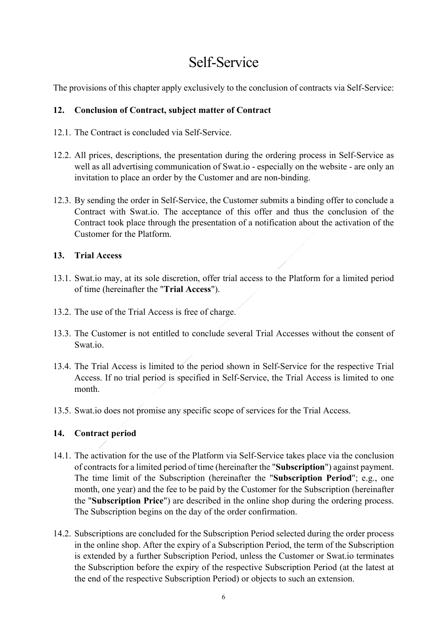# Self-Service

The provisions of this chapter apply exclusively to the conclusion of contracts via Self-Service:

## **12. Conclusion of Contract, subject matter of Contract**

- 12.1. The Contract is concluded via Self-Service.
- 12.2. All prices, descriptions, the presentation during the ordering process in Self-Service as well as all advertising communication of Swat.io - especially on the website - are only an invitation to place an order by the Customer and are non-binding.
- 12.3. By sending the order in Self-Service, the Customer submits a binding offer to conclude a Contract with Swat.io. The acceptance of this offer and thus the conclusion of the Contract took place through the presentation of a notification about the activation of the Customer for the Platform.

# **13. Trial Access**

- 13.1. Swat.io may, at its sole discretion, offer trial access to the Platform for a limited period of time (hereinafter the "**Trial Access**").
- 13.2. The use of the Trial Access is free of charge.
- 13.3. The Customer is not entitled to conclude several Trial Accesses without the consent of Swat.io.
- 13.4. The Trial Access is limited to the period shown in Self-Service for the respective Trial Access. If no trial period is specified in Self-Service, the Trial Access is limited to one month.
- 13.5. Swat.io does not promise any specific scope of services for the Trial Access.

# **14. Contract period**

- 14.1. The activation for the use of the Platform via Self-Service takes place via the conclusion of contracts for a limited period of time (hereinafter the "**Subscription**") against payment. The time limit of the Subscription (hereinafter the "**Subscription Period**"; e.g., one month, one year) and the fee to be paid by the Customer for the Subscription (hereinafter the "**Subscription Price**") are described in the online shop during the ordering process. The Subscription begins on the day of the order confirmation.
- 14.2. Subscriptions are concluded for the Subscription Period selected during the order process in the online shop. After the expiry of a Subscription Period, the term of the Subscription is extended by a further Subscription Period, unless the Customer or Swat.io terminates the Subscription before the expiry of the respective Subscription Period (at the latest at the end of the respective Subscription Period) or objects to such an extension.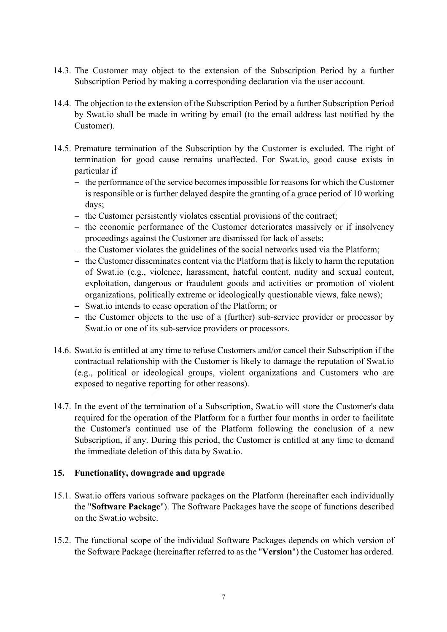- 14.3. The Customer may object to the extension of the Subscription Period by a further Subscription Period by making a corresponding declaration via the user account.
- 14.4. The objection to the extension of the Subscription Period by a further Subscription Period by Swat.io shall be made in writing by email (to the email address last notified by the Customer).
- 14.5. Premature termination of the Subscription by the Customer is excluded. The right of termination for good cause remains unaffected. For Swat.io, good cause exists in particular if
	- the performance of the service becomes impossible for reasons for which the Customer is responsible or is further delayed despite the granting of a grace period of 10 working days;
	- the Customer persistently violates essential provisions of the contract;
	- the economic performance of the Customer deteriorates massively or if insolvency proceedings against the Customer are dismissed for lack of assets;
	- the Customer violates the guidelines of the social networks used via the Platform;
	- the Customer disseminates content via the Platform that is likely to harm the reputation of Swat.io (e.g., violence, harassment, hateful content, nudity and sexual content, exploitation, dangerous or fraudulent goods and activities or promotion of violent organizations, politically extreme or ideologically questionable views, fake news);
	- Swat.io intends to cease operation of the Platform; or
	- the Customer objects to the use of a (further) sub-service provider or processor by Swat.io or one of its sub-service providers or processors.
- 14.6. Swat.io is entitled at any time to refuse Customers and/or cancel their Subscription if the contractual relationship with the Customer is likely to damage the reputation of Swat.io (e.g., political or ideological groups, violent organizations and Customers who are exposed to negative reporting for other reasons).
- 14.7. In the event of the termination of a Subscription, Swat.io will store the Customer's data required for the operation of the Platform for a further four months in order to facilitate the Customer's continued use of the Platform following the conclusion of a new Subscription, if any. During this period, the Customer is entitled at any time to demand the immediate deletion of this data by Swat.io.

### **15. Functionality, downgrade and upgrade**

- 15.1. Swat.io offers various software packages on the Platform (hereinafter each individually the "**Software Package**"). The Software Packages have the scope of functions described on the Swat.io website.
- 15.2. The functional scope of the individual Software Packages depends on which version of the Software Package (hereinafter referred to as the "**Version**") the Customer has ordered.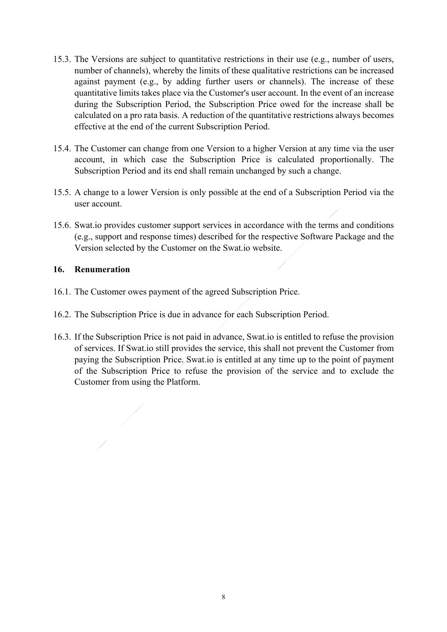- 15.3. The Versions are subject to quantitative restrictions in their use (e.g., number of users, number of channels), whereby the limits of these qualitative restrictions can be increased against payment (e.g., by adding further users or channels). The increase of these quantitative limits takes place via the Customer's user account. In the event of an increase during the Subscription Period, the Subscription Price owed for the increase shall be calculated on a pro rata basis. A reduction of the quantitative restrictions always becomes effective at the end of the current Subscription Period.
- 15.4. The Customer can change from one Version to a higher Version at any time via the user account, in which case the Subscription Price is calculated proportionally. The Subscription Period and its end shall remain unchanged by such a change.
- 15.5. A change to a lower Version is only possible at the end of a Subscription Period via the user account.
- 15.6. Swat.io provides customer support services in accordance with the terms and conditions (e.g., support and response times) described for the respective Software Package and the Version selected by the Customer on the Swat.io website.

### **16. Renumeration**

- 16.1. The Customer owes payment of the agreed Subscription Price.
- 16.2. The Subscription Price is due in advance for each Subscription Period.
- 16.3. If the Subscription Price is not paid in advance, Swat.io is entitled to refuse the provision of services. If Swat.io still provides the service, this shall not prevent the Customer from paying the Subscription Price. Swat.io is entitled at any time up to the point of payment of the Subscription Price to refuse the provision of the service and to exclude the Customer from using the Platform.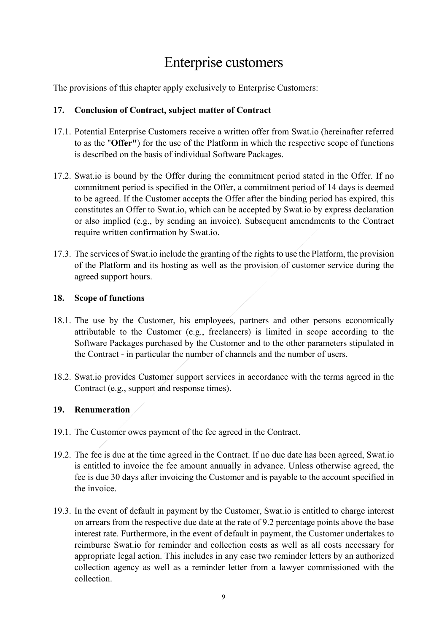# Enterprise customers

The provisions of this chapter apply exclusively to Enterprise Customers:

### **17. Conclusion of Contract, subject matter of Contract**

- 17.1. Potential Enterprise Customers receive a written offer from Swat.io (hereinafter referred to as the "**Offer"**) for the use of the Platform in which the respective scope of functions is described on the basis of individual Software Packages.
- 17.2. Swat.io is bound by the Offer during the commitment period stated in the Offer. If no commitment period is specified in the Offer, a commitment period of 14 days is deemed to be agreed. If the Customer accepts the Offer after the binding period has expired, this constitutes an Offer to Swat.io, which can be accepted by Swat.io by express declaration or also implied (e.g., by sending an invoice). Subsequent amendments to the Contract require written confirmation by Swat.io.
- 17.3. The services of Swat.io include the granting of the rights to use the Platform, the provision of the Platform and its hosting as well as the provision of customer service during the agreed support hours.

## **18. Scope of functions**

- 18.1. The use by the Customer, his employees, partners and other persons economically attributable to the Customer (e.g., freelancers) is limited in scope according to the Software Packages purchased by the Customer and to the other parameters stipulated in the Contract - in particular the number of channels and the number of users.
- 18.2. Swat.io provides Customer support services in accordance with the terms agreed in the Contract (e.g., support and response times).

# **19. Renumeration**

- 19.1. The Customer owes payment of the fee agreed in the Contract.
- 19.2. The fee is due at the time agreed in the Contract. If no due date has been agreed, Swat.io is entitled to invoice the fee amount annually in advance. Unless otherwise agreed, the fee is due 30 days after invoicing the Customer and is payable to the account specified in the invoice.
- 19.3. In the event of default in payment by the Customer, Swat.io is entitled to charge interest on arrears from the respective due date at the rate of 9.2 percentage points above the base interest rate. Furthermore, in the event of default in payment, the Customer undertakes to reimburse Swat.io for reminder and collection costs as well as all costs necessary for appropriate legal action. This includes in any case two reminder letters by an authorized collection agency as well as a reminder letter from a lawyer commissioned with the collection.